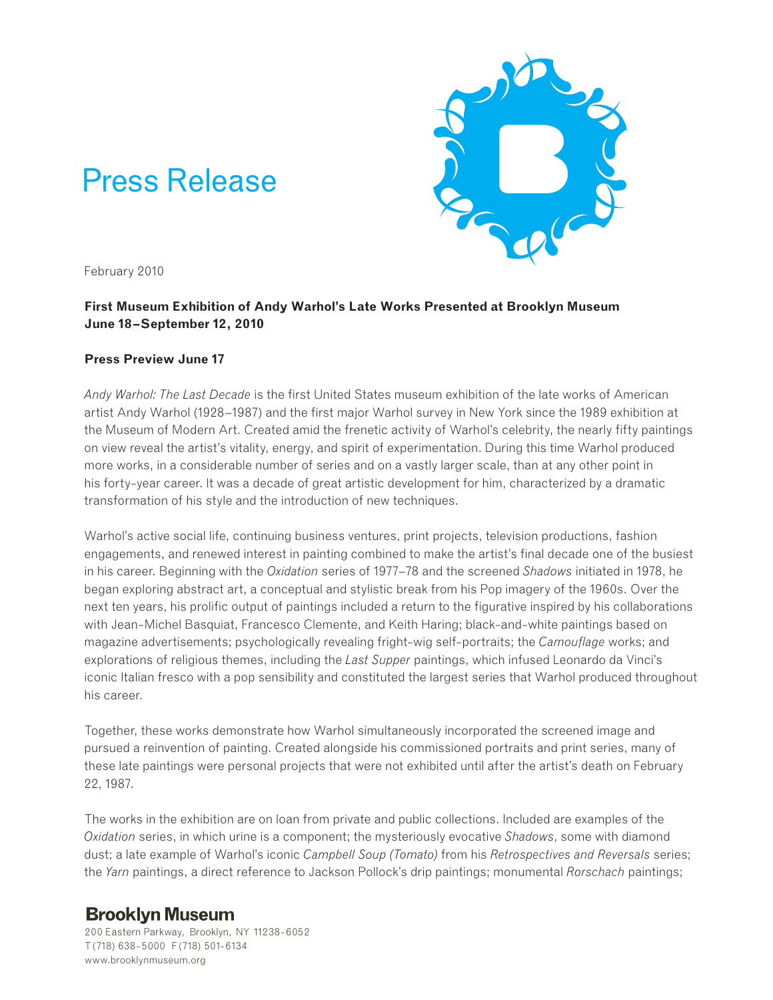# Press Release



February 2010

## **First Museum Exhibition of Andy Warhol's Late Works Presented at Brooklyn Museum June 18–September 12, 2010**

## **Press Preview June 17**

*Andy Warhol: The Last Decade* is the first United States museum exhibition of the late works of American artist Andy Warhol (1928–1987) and the first major Warhol survey in New York since the 1989 exhibition at the Museum of Modern Art. Created amid the frenetic activity of Warhol's celebrity, the nearly fifty paintings on view reveal the artist's vitality, energy, and spirit of experimentation. During this time Warhol produced more works, in a considerable number of series and on a vastly larger scale, than at any other point in his forty-year career. It was a decade of great artistic development for him, characterized by a dramatic transformation of his style and the introduction of new techniques.

Warhol's active social life, continuing business ventures, print projects, television productions, fashion engagements, and renewed interest in painting combined to make the artist's final decade one of the busiest in his career. Beginning with the *Oxidation* series of 1977–78 and the screened *Shadows* initiated in 1978, he began exploring abstract art, a conceptual and stylistic break from his Pop imagery of the 1960s. Over the next ten years, his prolific output of paintings included a return to the figurative inspired by his collaborations with Jean-Michel Basquiat, Francesco Clemente, and Keith Haring; black-and-white paintings based on magazine advertisements; psychologically revealing fright-wig self-portraits; the *Camouflage* works; and explorations of religious themes, including the *Last Supper* paintings, which infused Leonardo da Vinci's iconic Italian fresco with a pop sensibility and constituted the largest series that Warhol produced throughout his career.

Together, these works demonstrate how Warhol simultaneously incorporated the screened image and pursued a reinvention of painting. Created alongside his commissioned portraits and print series, many of these late paintings were personal projects that were not exhibited until after the artist's death on February 22, 1987.

The works in the exhibition are on loan from private and public collections. Included are examples of the *Oxidation* series, in which urine is a component; the mysteriously evocative *Shadows*, some with diamond dust; a late example of Warhol's iconic *Campbell Soup (Tomato)* from his *Retrospectives and Reversals* series; the *Yarn* paintings, a direct reference to Jackson Pollock's drip paintings; monumental *Rorschach* paintings;

## **Brooklyn Museum**

200 Eastern Parkway, Brooklyn, NY 11238-6052 T (718) 638-5000 F (718) 501-6134 www.brooklynmuseum.org